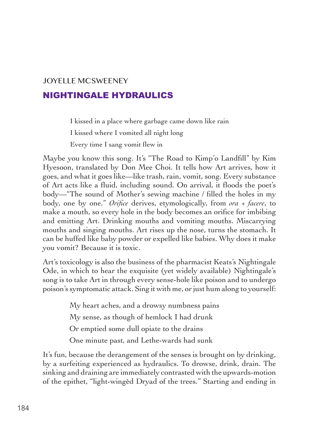## JOYELLE MCSWEENEY NIGHTINGALE HYDRAULICS

I kissed in a place where garbage came down like rain

I kissed where I vomited all night long

Every time I sang vomit flew in

Maybe you know this song. It's "The Road to Kimp'o Landfill" by Kim Hyesoon, translated by Don Mee Choi. It tells how Art arrives, how it goes, and what it goes like––like trash, rain, vomit, song. Every substance of Art acts like a fluid, including sound. On arrival, it floods the poet's body––"The sound of Mother's sewing machine / filled the holes in my body, one by one." *Orifice* derives, etymologically, from *ora + facere*, to make a mouth, so every hole in the body becomes an orifice for imbibing and emitting Art. Drinking mouths and vomiting mouths. Miscarrying mouths and singing mouths. Art rises up the nose, turns the stomach. It can be huffed like baby powder or expelled like babies. Why does it make you vomit? Because it is toxic.

Art's toxicology is also the business of the pharmacist Keats's Nightingale Ode, in which to hear the exquisite (yet widely available) Nightingale's song is to take Art in through every sense-hole like poison and to undergo poison's symptomatic attack. Sing it with me, or just hum along to yourself:

> My heart aches, and a drowsy numbness pains My sense, as though of hemlock I had drunk Or emptied some dull opiate to the drains One minute past, and Lethe-wards had sunk

It's fun, because the derangement of the senses is brought on by drinking, by a surfeiting experienced as hydraulics. To drowse, drink, drain. The sinking and draining are immediately contrasted with the upwards-motion of the epithet, "light-wingèd Dryad of the trees." Starting and ending in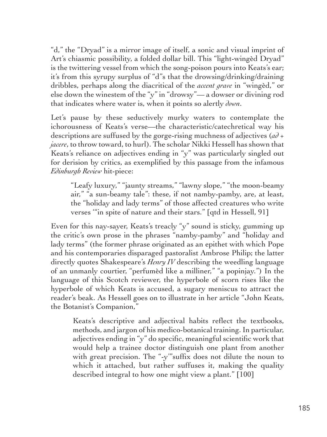"d," the "Dryad" is a mirror image of itself, a sonic and visual imprint of Art's chiasmic possibility, a folded dollar bill. This "light-wingèd Dryad" is the twittering vessel from which the song-poison pours into Keats's ear; it's from this syrupy surplus of "d"s that the drowsing/drinking/draining dribbles, perhaps along the diacritical of the *accent grave* in "wingèd," or else down the winestem of the "y" in "drowsy"–– a dowser or divining rod that indicates where water is, when it points so alertly *down*.

Let's pause by these seductively murky waters to contemplate the ichorousness of Keats's verse––the characteristic/catechretical way his descriptions are suffused by the gorge-rising muchness of adjectives (*ad + jacere*, to throw toward, to hurl). The scholar Nikki Hessell has shown that Keats's reliance on adjectives ending in "y" was particularly singled out for derision by critics, as exemplified by this passage from the infamous *Edinburgh Review* hit-piece:

"Leafy luxury," "jaunty streams," "lawny slope," "the moon-beamy air," "a sun-beamy tale": these, if not namby-pamby, are, at least, the "holiday and lady terms" of those affected creatures who write verses '"in spite of nature and their stars." [qtd in Hessell, 91]

Even for this nay-sayer, Keats's treacly "y" sound is sticky, gumming up the critic's own prose in the phrases "namby-pamby" and "holiday and lady terms" (the former phrase originated as an epithet with which Pope and his contemporaries disparaged pastoralist Ambrose Philip; the latter directly quotes Shakespeare's *Henry IV* describing the weedling language of an unmanly courtier, "perfumèd like a milliner," "a popinjay.") In the language of this Scotch reviewer, the hyperbole of scorn rises like the hyperbole of which Keats is accused, a sugary meniscus to attract the reader's beak. As Hessell goes on to illustrate in her article "John Keats, the Botanist's Companion,"

Keats's descriptive and adjectival habits reflect the textbooks, methods, and jargon of his medico-botanical training. In particular, adjectives ending in "y" do specific, meaningful scientific work that would help a trainee doctor distinguish one plant from another with great precision. The "-y" suffix does not dilute the noun to which it attached, but rather suffuses it, making the quality described integral to how one might view a plant." [100]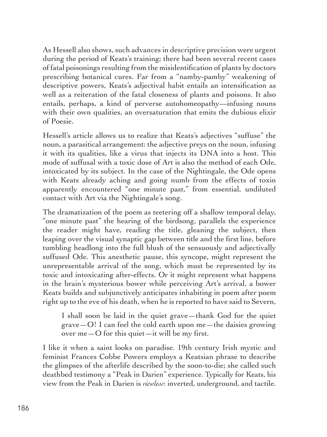As Hessell also shows, such advances in descriptive precision were urgent during the period of Keats's training; there had been several recent cases of fatal poisonings resulting from the misidentification of plants by doctors prescribing botanical cures. Far from a "namby-pamby" weakening of descriptive powers, Keats's adjectival habit entails an intensification as well as a reiteration of the fatal closeness of plants and poisons. It also entails, perhaps, a kind of perverse autohomeopathy––infusing nouns with their own qualities, an oversaturation that emits the dubious elixir of Poesie.

Hessell's article allows us to realize that Keats's adjectives "suffuse" the noun, a parasitical arrangement: the adjective preys on the noun, infusing it with its qualities, like a virus that injects its DNA into a host. This mode of suffusal with a toxic dose of Art is also the method of each Ode, intoxicated by its subject. In the case of the Nightingale, the Ode opens with Keats already aching and going numb from the effects of toxin apparently encountered "one minute past," from essential, undiluted contact with Art via the Nightingale's song.

The dramatization of the poem as teetering off a shallow temporal delay, "one minute past" the hearing of the birdsong, parallels the experience the reader might have, reading the title, gleaning the subject, then leaping over the visual synaptic gap between title and the first line, before tumbling headlong into the full blush of the sensuously and adjectivally suffused Ode. This anesthetic pause, this syncope, might represent the unrepresentable arrival of the song, which must be represented by its toxic and intoxicating after-effects. Or it might represent what happens in the brain's mysterious bower while perceiving Art's arrival, a bower Keats builds and subjunctively anticipates inhabiting in poem after poem right up to the eve of his death, when he is reported to have said to Severn,

I shall soon be laid in the quiet grave—thank God for the quiet grave  $-O$ ! I can feel the cold earth upon me —the daisies growing over me—O for this quiet—it will be my first.

I like it when a saint looks on paradise. 19th century Irish mystic and feminist Frances Cobbe Powers employs a Keatsian phrase to describe the glimpses of the afterlife described by the soon-to-die; she called such deathbed testimony a "Peak in Darien" experience. Typically for Keats, his view from the Peak in Darien is *viewless*: inverted, underground, and tactile.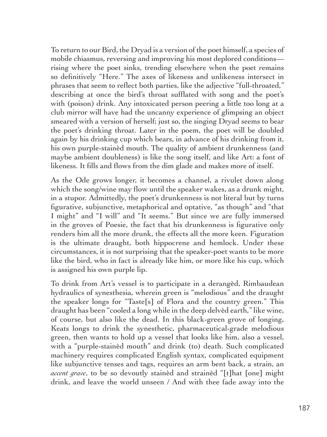To return to our Bird, the Dryad is a version of the poet himself, a species of mobile chiasmus, reversing and improving his most deplored conditions–– rising where the poet sinks, trending elsewhere when the poet remains so definitively "Here." The axes of likeness and unlikeness intersect in phrases that seem to reflect both parties, like the adjective "full-throated," describing at once the bird's throat sufflated with song and the poet's with (poison) drink. Any intoxicated person peering a little too long at a club mirror will have had the uncanny experience of glimpsing an object smeared with a version of herself; just so, the singing Dryad seems to bear the poet's drinking throat. Later in the poem, the poet will be doubled again by his drinking cup which bears, in advance of his drinking from it, his own purple-stainèd mouth. The quality of ambient drunkenness (and maybe ambient doubleness) is like the song itself, and like Art: a font of likeness. It fills and flows from the dim glade and makes more of itself.

As the Ode grows longer, it becomes a channel, a rivulet down along which the song/wine may flow until the speaker wakes, as a drunk might, in a stupor. Admittedly, the poet's drunkenness is not literal but by turns figurative, subjunctive, metaphorical and optative, "as though" and "that I might" and "I will" and "It seems." But since we are fully immersed in the groves of Poesie, the fact that his drunkenness is figurative only renders him all the more drunk, the effects all the more keen. Figuration is the ultimate draught, both hippocrene and hemlock. Under these circumstances, it is not surprising that the speaker-poet wants to be more like the bird, who in fact is already like him, or more like his cup, which is assigned his own purple lip.

To drink from Art's vessel is to participate in a derangèd, Rimbaudean hydraulics of synesthesia, wherein green is "melodious" and the draught the speaker longs for "Taste[s] of Flora and the country green." This draught has been "cooled a long while in the deep delvèd earth," like wine, of course, but also like the dead. In this black-green grove of longing, Keats longs to drink the synesthetic, pharmaceutical-grade melodious green, then wants to hold up a vessel that looks like him, also a vessel, with a "purple-stainèd mouth" and drink (to) death. Such complicated machinery requires complicated English syntax, complicated equipment like subjunctive tenses and tags, requires an arm bent back, a strain, an *accent grave*, to be so devoutly stainèd and strainèd "[t]hat [one] might drink, and leave the world unseen / And with thee fade away into the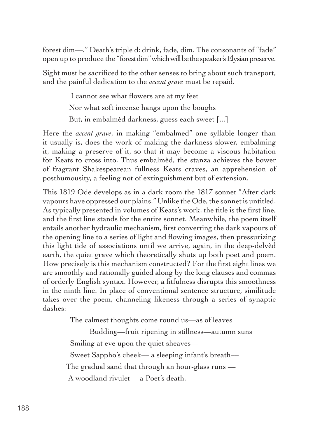forest dim––." Death's triple d: drink, fade, dim. The consonants of "fade" open up to produce the "forest dim" which will be the speaker's Elysian preserve.

Sight must be sacrificed to the other senses to bring about such transport, and the painful dedication to the *accent grave* must be repaid.

> I cannot see what flowers are at my feet Nor what soft incense hangs upon the boughs But, in embalmèd darkness, guess each sweet [...]

Here the *accent grave*, in making "embalmed" one syllable longer than it usually is, does the work of making the darkness slower, embalming it, making a preserve of it, so that it may become a viscous habitation for Keats to cross into. Thus embalmèd, the stanza achieves the bower of fragrant Shakespearean fullness Keats craves, an apprehension of posthumousity, a feeling not of extinguishment but of extension.

This 1819 Ode develops as in a dark room the 1817 sonnet "After dark vapours have oppressed our plains." Unlike the Ode, the sonnet is untitled. As typically presented in volumes of Keats's work, the title is the first line, and the first line stands for the entire sonnet. Meanwhile, the poem itself entails another hydraulic mechanism, first converting the dark vapours of the opening line to a series of light and flowing images, then pressurizing this light tide of associations until we arrive, again, in the deep-delvèd earth, the quiet grave which theoretically shuts up both poet and poem. How precisely is this mechanism constructed? For the first eight lines we are smoothly and rationally guided along by the long clauses and commas of orderly English syntax. However, a fitfulness disrupts this smoothness in the ninth line. In place of conventional sentence structure, similitude takes over the poem, channeling likeness through a series of synaptic dashes:

The calmest thoughts come round us—as of leaves

Budding––fruit ripening in stillness––autumn suns Smiling at eve upon the quiet sheaves— Sweet Sappho's cheek— a sleeping infant's breath— The gradual sand that through an hour-glass runs -A woodland rivulet— a Poet's death.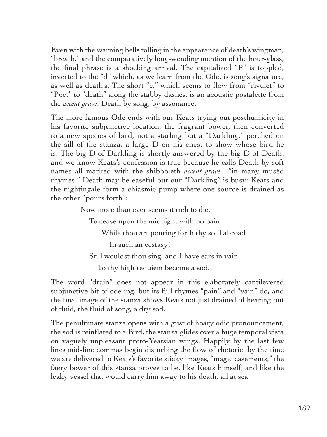Even with the warning bells tolling in the appearance of death's wingman, "breath," and the comparatively long-wending mention of the hour-glass, the final phrase is a shocking arrival. The capitalized "P" is toppled, inverted to the "d" which, as we learn from the Ode, is song's signature, as well as death's. The short "e," which seems to flow from "rivulet" to "Poet" to "death" along the stabby dashes, is an acoustic postalette from the *accent grave*. Death by song, by assonance.

The more famous Ode ends with our Keats trying out posthumicity in his favorite subjunctive location, the fragrant bower, then converted to a new species of bird, not a starling but a "Darkling," perched on the sill of the stanza, a large D on his chest to show whose bird he is. The big D of Darkling is shortly answered by the big D of Death, and we know Keats's confession is true because he calls Death by soft names all marked with the shibboleth *accent grave*––"in many musèd rhymes." Death may be easeful but our "Darkling" is busy; Keats and the nightingale form a chiasmic pump where one source is drained as the other "pours forth":

Now more than ever seems it rich to die,

To cease upon the midnight with no pain,

While thou art pouring forth thy soul abroad

In such an ecstasy!

Still wouldst thou sing, and I have ears in vain––

To thy high requiem become a sod.

The word "drain" does not appear in this elaborately cantilevered subjunctive bit of ode-ing, but its full rhymes "pain" and "vain" do, and the final image of the stanza shows Keats not just drained of hearing but of fluid, the fluid of song, a dry sod.

The penultimate stanza opens with a gust of hoary odic pronouncement, the sod is reinflated to a Bird, the stanza glides over a huge temporal vista on vaguely unpleasant proto-Yeatsian wings. Happily by the last few lines mid-line commas begin disturbing the flow of rhetoric; by the time we are delivered to Keats's favorite sticky images, "magic casements," the faery bower of this stanza proves to be, like Keats himself, and like the leaky vessel that would carry him away to his death, all at sea.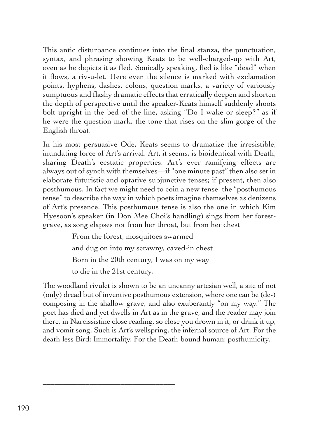This antic disturbance continues into the final stanza, the punctuation, syntax, and phrasing showing Keats to be well-charged-up with Art, even as he depicts it as fled. Sonically speaking, fled is like "dead" when it flows, a riv-u-let. Here even the silence is marked with exclamation points, hyphens, dashes, colons, question marks, a variety of variously sumptuous and flashy dramatic effects that erratically deepen and shorten the depth of perspective until the speaker-Keats himself suddenly shoots bolt upright in the bed of the line, asking "Do I wake or sleep?" as if he were the question mark, the tone that rises on the slim gorge of the English throat.

In his most persuasive Ode, Keats seems to dramatize the irresistible, inundating force of Art's arrival. Art, it seems, is bioidentical with Death, sharing Death's ecstatic properties. Art's ever ramifying effects are always out of synch with themselves––if "one minute past" then also set in elaborate futuristic and optative subjunctive tenses; if present, then also posthumous. In fact we might need to coin a new tense, the "posthumous tense" to describe the way in which poets imagine themselves as denizens of Art's presence. This posthumous tense is also the one in which Kim Hyesoon's speaker (in Don Mee Choi's handling) sings from her forestgrave, as song elapses not from her throat, but from her chest

> From the forest, mosquitoes swarmed and dug on into my scrawny, caved-in chest Born in the 20th century, I was on my way to die in the 21st century*.*

\_\_\_\_\_\_\_\_\_\_\_\_\_\_\_\_\_\_\_\_\_\_\_\_\_\_\_\_\_\_\_\_\_\_

The woodland rivulet is shown to be an uncanny artesian well, a site of not (only) dread but of inventive posthumous extension, where one can be (de-) composing in the shallow grave, and also exuberantly "on my way." The poet has died and yet dwells in Art as in the grave, and the reader may join there, in Narcissistine close reading, so close you drown in it, or drink it up, and vomit song. Such is Art's wellspring, the infernal source of Art. For the death-less Bird: Immortality. For the Death-bound human: posthumicity.